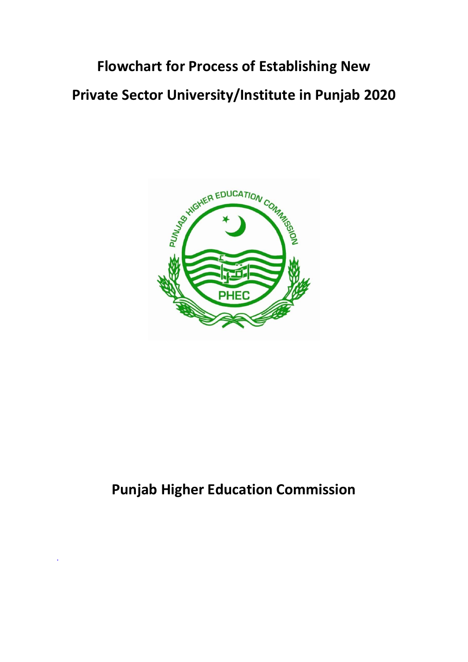## **Flowchart for Process of Establishing New Private Sector University/Institute in Punjab 2020**



## **Punjab Higher Education Commission**

.